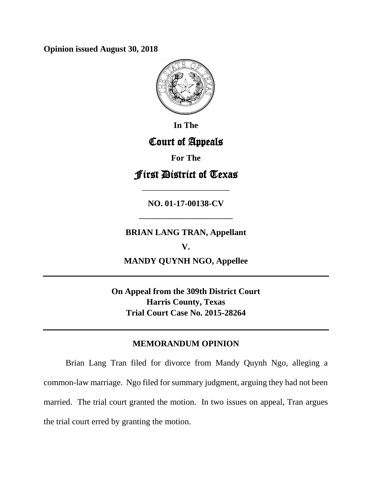**Opinion issued August 30, 2018**



**In The**

# Court of Appeals

**For The**

First District of Texas

**NO. 01-17-00138-CV**

**————————————**

# **BRIAN LANG TRAN, Appellant**

**———————————**

**V. MANDY QUYNH NGO, Appellee**

**On Appeal from the 309th District Court Harris County, Texas Trial Court Case No. 2015-28264**

# **MEMORANDUM OPINION**

Brian Lang Tran filed for divorce from Mandy Quynh Ngo, alleging a common-law marriage. Ngo filed for summary judgment, arguing they had not been married. The trial court granted the motion. In two issues on appeal, Tran argues the trial court erred by granting the motion.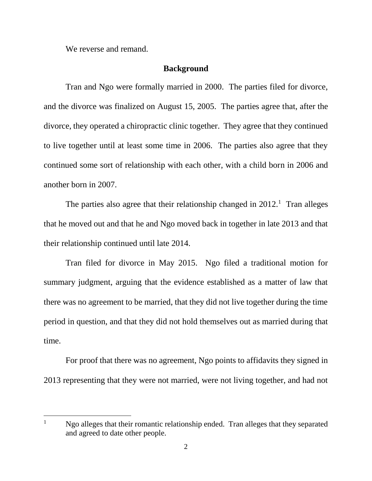We reverse and remand.

 $\overline{a}$ 

#### **Background**

Tran and Ngo were formally married in 2000. The parties filed for divorce, and the divorce was finalized on August 15, 2005. The parties agree that, after the divorce, they operated a chiropractic clinic together. They agree that they continued to live together until at least some time in 2006. The parties also agree that they continued some sort of relationship with each other, with a child born in 2006 and another born in 2007.

The parties also agree that their relationship changed in  $2012$ .<sup>1</sup> Tran alleges that he moved out and that he and Ngo moved back in together in late 2013 and that their relationship continued until late 2014.

Tran filed for divorce in May 2015. Ngo filed a traditional motion for summary judgment, arguing that the evidence established as a matter of law that there was no agreement to be married, that they did not live together during the time period in question, and that they did not hold themselves out as married during that time.

For proof that there was no agreement, Ngo points to affidavits they signed in 2013 representing that they were not married, were not living together, and had not

 $1$  Ngo alleges that their romantic relationship ended. Tran alleges that they separated and agreed to date other people.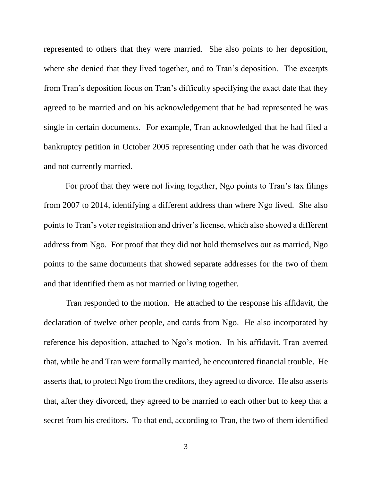represented to others that they were married. She also points to her deposition, where she denied that they lived together, and to Tran's deposition. The excerpts from Tran's deposition focus on Tran's difficulty specifying the exact date that they agreed to be married and on his acknowledgement that he had represented he was single in certain documents. For example, Tran acknowledged that he had filed a bankruptcy petition in October 2005 representing under oath that he was divorced and not currently married.

For proof that they were not living together, Ngo points to Tran's tax filings from 2007 to 2014, identifying a different address than where Ngo lived. She also points to Tran's voter registration and driver's license, which also showed a different address from Ngo. For proof that they did not hold themselves out as married, Ngo points to the same documents that showed separate addresses for the two of them and that identified them as not married or living together.

Tran responded to the motion. He attached to the response his affidavit, the declaration of twelve other people, and cards from Ngo. He also incorporated by reference his deposition, attached to Ngo's motion. In his affidavit, Tran averred that, while he and Tran were formally married, he encountered financial trouble. He asserts that, to protect Ngo from the creditors, they agreed to divorce. He also asserts that, after they divorced, they agreed to be married to each other but to keep that a secret from his creditors. To that end, according to Tran, the two of them identified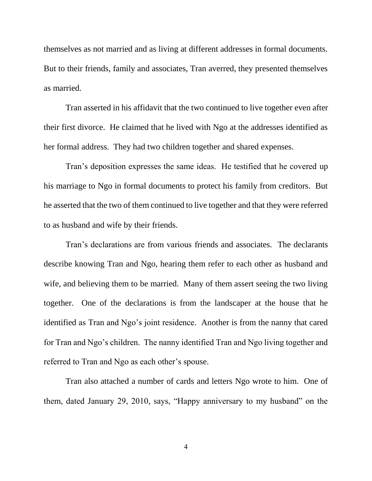themselves as not married and as living at different addresses in formal documents. But to their friends, family and associates, Tran averred, they presented themselves as married.

Tran asserted in his affidavit that the two continued to live together even after their first divorce. He claimed that he lived with Ngo at the addresses identified as her formal address. They had two children together and shared expenses.

Tran's deposition expresses the same ideas. He testified that he covered up his marriage to Ngo in formal documents to protect his family from creditors. But he asserted that the two of them continued to live together and that they were referred to as husband and wife by their friends.

Tran's declarations are from various friends and associates. The declarants describe knowing Tran and Ngo, hearing them refer to each other as husband and wife, and believing them to be married. Many of them assert seeing the two living together. One of the declarations is from the landscaper at the house that he identified as Tran and Ngo's joint residence. Another is from the nanny that cared for Tran and Ngo's children. The nanny identified Tran and Ngo living together and referred to Tran and Ngo as each other's spouse.

Tran also attached a number of cards and letters Ngo wrote to him. One of them, dated January 29, 2010, says, "Happy anniversary to my husband" on the

4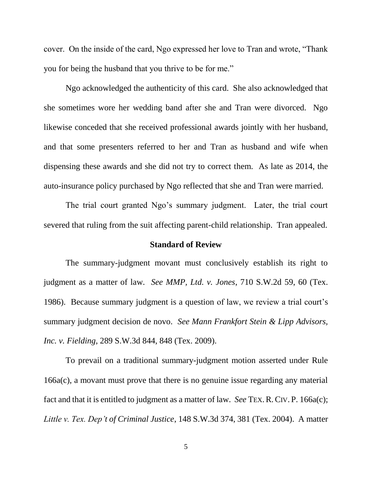cover. On the inside of the card, Ngo expressed her love to Tran and wrote, "Thank you for being the husband that you thrive to be for me."

Ngo acknowledged the authenticity of this card. She also acknowledged that she sometimes wore her wedding band after she and Tran were divorced. Ngo likewise conceded that she received professional awards jointly with her husband, and that some presenters referred to her and Tran as husband and wife when dispensing these awards and she did not try to correct them. As late as 2014, the auto-insurance policy purchased by Ngo reflected that she and Tran were married.

The trial court granted Ngo's summary judgment. Later, the trial court severed that ruling from the suit affecting parent-child relationship. Tran appealed.

## **Standard of Review**

The summary-judgment movant must conclusively establish its right to judgment as a matter of law. *See MMP, Ltd. v. Jones*, 710 S.W.2d 59, 60 (Tex. 1986). Because summary judgment is a question of law, we review a trial court's summary judgment decision de novo. *See Mann Frankfort Stein & Lipp Advisors, Inc. v. Fielding*, 289 S.W.3d 844, 848 (Tex. 2009).

To prevail on a traditional summary-judgment motion asserted under Rule 166a(c), a movant must prove that there is no genuine issue regarding any material fact and that it is entitled to judgment as a matter of law. *See* TEX. R. CIV. P. [166a\(c\);](https://a.next.westlaw.com/Link/Document/FullText?findType=L&pubNum=1005302&cite=TXRRCPR166A&originatingDoc=Ifd7c093be00c11e2a555d241dae65084&refType=LQ&originationContext=document&transitionType=DocumentItem&contextData=(sc.Search)) *Little v. Tex. Dep't of Criminal Justice*, 148 S.W.3d 374, 381 (Tex. 2004). A matter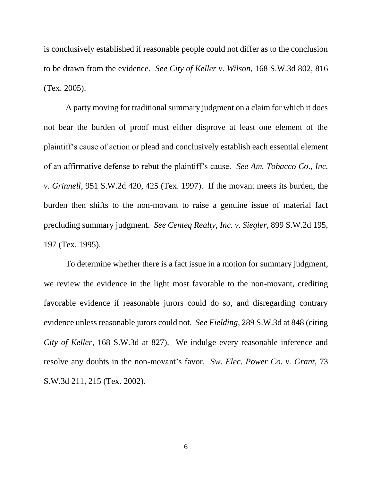is conclusively established if reasonable people could not differ as to the conclusion to be drawn from the evidence. *See City of Keller v. Wilson*, 168 S.W.3d 802, 816 (Tex. 2005).

A party moving for traditional summary judgment on a claim for which it does not bear the burden of proof must either disprove at least one element of the plaintiff's cause of action or plead and conclusively establish each essential element of an affirmative defense to rebut the plaintiff's cause. *See Am. Tobacco Co., Inc. v. Grinnell*, 951 S.W.2d 420, 425 (Tex. 1997). If the movant meets its burden, the burden then shifts to the non-movant to raise a genuine issue of material fact precluding summary judgment. *See Centeq Realty, Inc. v. Siegler*, 899 S.W.2d 195, 197 (Tex. 1995).

To determine whether there is a fact issue in a motion for summary judgment, we review the evidence in the light most favorable to the non-movant, crediting favorable evidence if reasonable jurors could do so, and disregarding contrary evidence unless reasonable jurors could not. *See Fielding*, 289 S.W.3d at 848 (citing *City of Keller,* 168 S.W.3d at 827). We indulge every reasonable inference and resolve any doubts in the non-movant's favor. *Sw. Elec. Power Co. v. Grant*, 73 S.W.3d 211, 215 (Tex. 2002).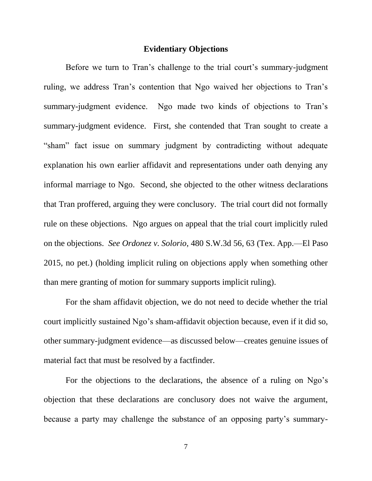#### **Evidentiary Objections**

Before we turn to Tran's challenge to the trial court's summary-judgment ruling, we address Tran's contention that Ngo waived her objections to Tran's summary-judgment evidence. Ngo made two kinds of objections to Tran's summary-judgment evidence. First, she contended that Tran sought to create a "sham" fact issue on summary judgment by contradicting without adequate explanation his own earlier affidavit and representations under oath denying any informal marriage to Ngo. Second, she objected to the other witness declarations that Tran proffered, arguing they were conclusory. The trial court did not formally rule on these objections. Ngo argues on appeal that the trial court implicitly ruled on the objections. *See Ordonez v. Solorio*, 480 S.W.3d 56, 63 (Tex. App.—El Paso 2015, no pet.) (holding implicit ruling on objections apply when something other than mere granting of motion for summary supports implicit ruling).

For the sham affidavit objection, we do not need to decide whether the trial court implicitly sustained Ngo's sham-affidavit objection because, even if it did so, other summary-judgment evidence—as discussed below—creates genuine issues of material fact that must be resolved by a factfinder.

For the objections to the declarations, the absence of a ruling on Ngo's objection that these declarations are conclusory does not waive the argument, because a party may challenge the substance of an opposing party's summary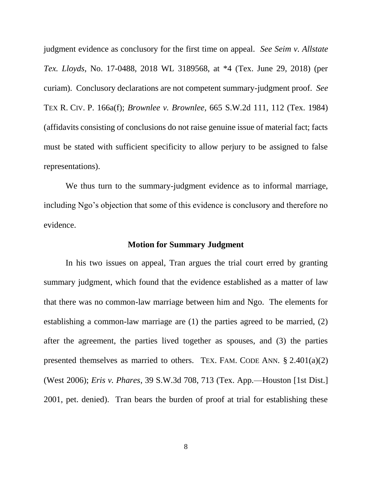judgment evidence as conclusory for the first time on appeal. *See Seim v. Allstate Tex. Lloyds*, No. 17-0488, 2018 WL 3189568, at \*4 (Tex. June 29, 2018) (per curiam).Conclusory declarations are not competent summary-judgment proof. *See*  TEX R. CIV. P. 166a(f); *Brownlee v. Brownlee*, 665 S.W.2d 111, 112 (Tex. 1984) (affidavits consisting of conclusions do not raise genuine issue of material fact; facts must be stated with sufficient specificity to allow perjury to be assigned to false representations).

We thus turn to the summary-judgment evidence as to informal marriage, including Ngo's objection that some of this evidence is conclusory and therefore no evidence.

#### **Motion for Summary Judgment**

In his two issues on appeal, Tran argues the trial court erred by granting summary judgment, which found that the evidence established as a matter of law that there was no common-law marriage between him and Ngo. The elements for establishing a common-law marriage are (1) the parties agreed to be married, (2) after the agreement, the parties lived together as spouses, and (3) the parties presented themselves as married to others. TEX. FAM. CODE ANN.  $\S 2.401(a)(2)$ (West 2006); *Eris v. Phares*, 39 S.W.3d 708, 713 (Tex. App.—Houston [1st Dist.] 2001, pet. denied). Tran bears the burden of proof at trial for establishing these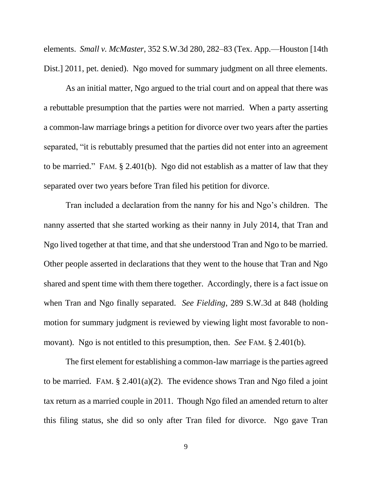elements. *Small v. McMaster*, 352 S.W.3d 280, 282–83 (Tex. App.—Houston [14th Dist.] 2011, pet. denied). Ngo moved for summary judgment on all three elements.

As an initial matter, Ngo argued to the trial court and on appeal that there was a rebuttable presumption that the parties were not married. When a party asserting a common-law marriage brings a petition for divorce over two years after the parties separated, "it is rebuttably presumed that the parties did not enter into an agreement to be married." FAM. § 2.401(b). Ngo did not establish as a matter of law that they separated over two years before Tran filed his petition for divorce.

Tran included a declaration from the nanny for his and Ngo's children. The nanny asserted that she started working as their nanny in July 2014, that Tran and Ngo lived together at that time, and that she understood Tran and Ngo to be married. Other people asserted in declarations that they went to the house that Tran and Ngo shared and spent time with them there together. Accordingly, there is a fact issue on when Tran and Ngo finally separated. *See Fielding*, 289 S.W.3d at 848 (holding motion for summary judgment is reviewed by viewing light most favorable to nonmovant). Ngo is not entitled to this presumption, then. *See* FAM. § 2.401(b).

The first element for establishing a common-law marriage is the parties agreed to be married. FAM.  $\S 2.401(a)(2)$ . The evidence shows Tran and Ngo filed a joint tax return as a married couple in 2011. Though Ngo filed an amended return to alter this filing status, she did so only after Tran filed for divorce. Ngo gave Tran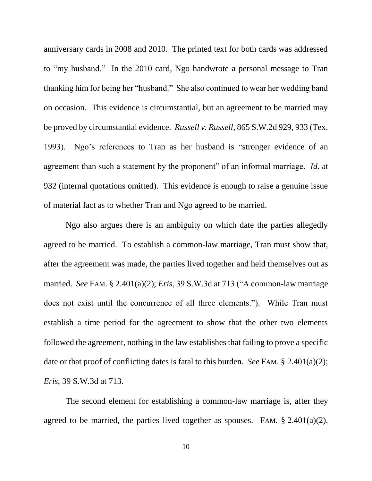anniversary cards in 2008 and 2010. The printed text for both cards was addressed to "my husband." In the 2010 card, Ngo handwrote a personal message to Tran thanking him for being her "husband." She also continued to wear her wedding band on occasion. This evidence is circumstantial, but an agreement to be married may be proved by circumstantial evidence. *Russell v. Russell*, 865 S.W.2d 929, 933 (Tex. 1993). Ngo's references to Tran as her husband is "stronger evidence of an agreement than such a statement by the proponent" of an informal marriage. *Id.* at 932 (internal quotations omitted). This evidence is enough to raise a genuine issue of material fact as to whether Tran and Ngo agreed to be married.

Ngo also argues there is an ambiguity on which date the parties allegedly agreed to be married. To establish a common-law marriage, Tran must show that, after the agreement was made, the parties lived together and held themselves out as married. *See* FAM. § 2.401(a)(2); *Eris*, 39 S.W.3d at 713 ("A common-law marriage does not exist until the concurrence of all three elements."). While Tran must establish a time period for the agreement to show that the other two elements followed the agreement, nothing in the law establishes that failing to prove a specific date or that proof of conflicting dates is fatal to this burden. *See* FAM. § 2.401(a)(2); *Eris*, 39 S.W.3d at 713.

The second element for establishing a common-law marriage is, after they agreed to be married, the parties lived together as spouses. FAM.  $\S 2.401(a)(2)$ .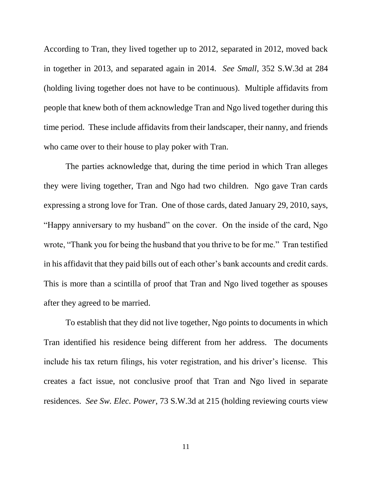According to Tran, they lived together up to 2012, separated in 2012, moved back in together in 2013, and separated again in 2014. *See Small*, 352 S.W.3d at 284 (holding living together does not have to be continuous). Multiple affidavits from people that knew both of them acknowledge Tran and Ngo lived together during this time period. These include affidavits from their landscaper, their nanny, and friends who came over to their house to play poker with Tran.

The parties acknowledge that, during the time period in which Tran alleges they were living together, Tran and Ngo had two children. Ngo gave Tran cards expressing a strong love for Tran. One of those cards, dated January 29, 2010, says, "Happy anniversary to my husband" on the cover. On the inside of the card, Ngo wrote, "Thank you for being the husband that you thrive to be for me." Tran testified in his affidavit that they paid bills out of each other's bank accounts and credit cards. This is more than a scintilla of proof that Tran and Ngo lived together as spouses after they agreed to be married.

To establish that they did not live together, Ngo points to documents in which Tran identified his residence being different from her address. The documents include his tax return filings, his voter registration, and his driver's license. This creates a fact issue, not conclusive proof that Tran and Ngo lived in separate residences. *See Sw. Elec. Power*, 73 S.W.3d at 215 (holding reviewing courts view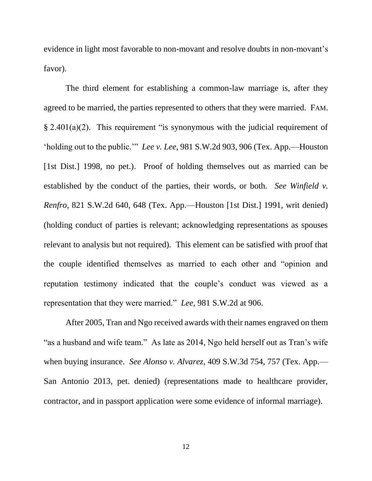evidence in light most favorable to non-movant and resolve doubts in non-movant's favor).

The third element for establishing a common-law marriage is, after they agreed to be married, the parties represented to others that they were married. FAM. § 2.401(a)(2). This requirement "is synonymous with the judicial requirement of 'holding out to the public.'" *Lee v. Lee*, 981 S.W.2d 903, 906 (Tex. App.—Houston [1st Dist.] 1998, no pet.). Proof of holding themselves out as married can be established by the conduct of the parties, their words, or both. *See Winfield v. Renfro*, 821 S.W.2d 640, 648 (Tex. App.—Houston [1st Dist.] 1991, writ denied) (holding conduct of parties is relevant; acknowledging representations as spouses relevant to analysis but not required). This element can be satisfied with proof that the couple identified themselves as married to each other and "opinion and reputation testimony indicated that the couple's conduct was viewed as a representation that they were married." *Lee*, 981 S.W.2d at 906.

After 2005, Tran and Ngo received awards with their names engraved on them "as a husband and wife team." As late as 2014, Ngo held herself out as Tran's wife when buying insurance. *See Alonso v. Alvarez*, 409 S.W.3d 754, 757 (Tex. App.— San Antonio 2013, pet. denied) (representations made to healthcare provider, contractor, and in passport application were some evidence of informal marriage).

12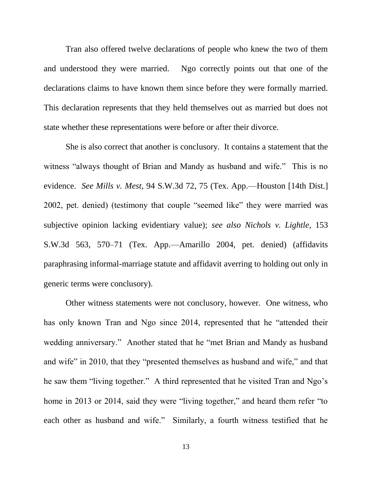Tran also offered twelve declarations of people who knew the two of them and understood they were married. Ngo correctly points out that one of the declarations claims to have known them since before they were formally married. This declaration represents that they held themselves out as married but does not state whether these representations were before or after their divorce.

She is also correct that another is conclusory. It contains a statement that the witness "always thought of Brian and Mandy as husband and wife." This is no evidence. *See Mills v. Mest*, 94 S.W.3d 72, 75 (Tex. App.—Houston [14th Dist.] 2002, pet. denied) (testimony that couple "seemed like" they were married was subjective opinion lacking evidentiary value); *see also Nichols v. Lightle*, 153 S.W.3d 563, 570–71 (Tex. App.—Amarillo 2004, pet. denied) (affidavits paraphrasing informal-marriage statute and affidavit averring to holding out only in generic terms were conclusory).

Other witness statements were not conclusory, however. One witness, who has only known Tran and Ngo since 2014, represented that he "attended their wedding anniversary." Another stated that he "met Brian and Mandy as husband and wife" in 2010, that they "presented themselves as husband and wife," and that he saw them "living together." A third represented that he visited Tran and Ngo's home in 2013 or 2014, said they were "living together," and heard them refer "to each other as husband and wife." Similarly, a fourth witness testified that he